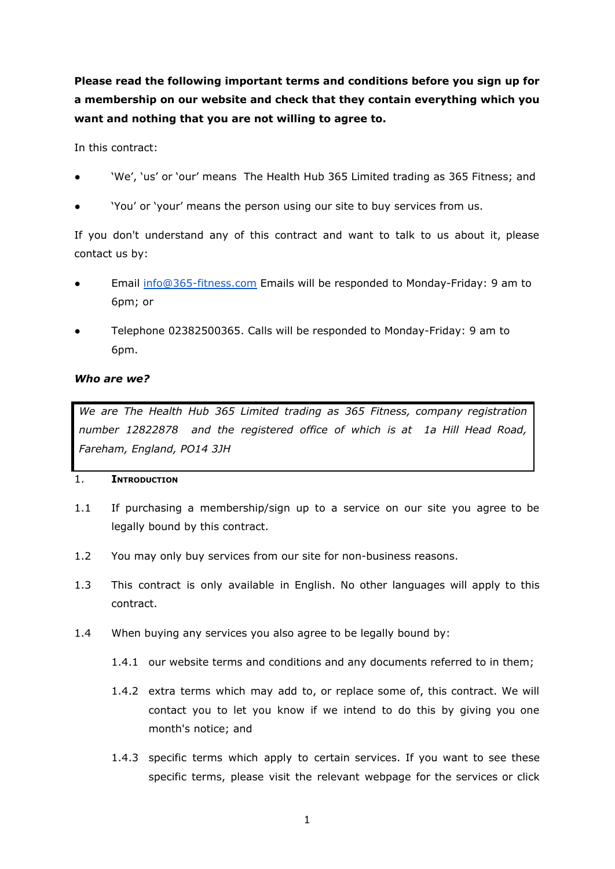**Please read the following important terms and conditions before you sign up for a membership on our website and check that they contain everything which you want and nothing that you are not willing to agree to.**

In this contract:

- 'We', 'us' or 'our' means The Health Hub 365 Limited trading as 365 Fitness; and
- 'You' or 'your' means the person using our site to buy services from us.

If you don't understand any of this contract and want to talk to us about it, please contact us by:

- Email [info@365-fitness.com](mailto:info@365-fitness.com) Emails will be responded to Monday-Friday: 9 am to 6pm; or
- Telephone 02382500365. Calls will be responded to Monday-Friday: 9 am to 6pm.

# *Who are we?*

*We are The Health Hub 365 Limited trading as 365 Fitness, company registration number 12822878 and the registered office of which is at 1a Hill Head Road, Fareham, England, PO14 3JH*

## 1. **INTRODUCTION**

- 1.1 If purchasing a membership/sign up to a service on our site you agree to be legally bound by this contract.
- 1.2 You may only buy services from our site for non-business reasons.
- 1.3 This contract is only available in English. No other languages will apply to this contract.
- 1.4 When buying any services you also agree to be legally bound by:
	- 1.4.1 our website terms and conditions and any documents referred to in them;
	- 1.4.2 extra terms which may add to, or replace some of, this contract. We will contact you to let you know if we intend to do this by giving you one month's notice; and
	- 1.4.3 specific terms which apply to certain services. If you want to see these specific terms, please visit the relevant webpage for the services or click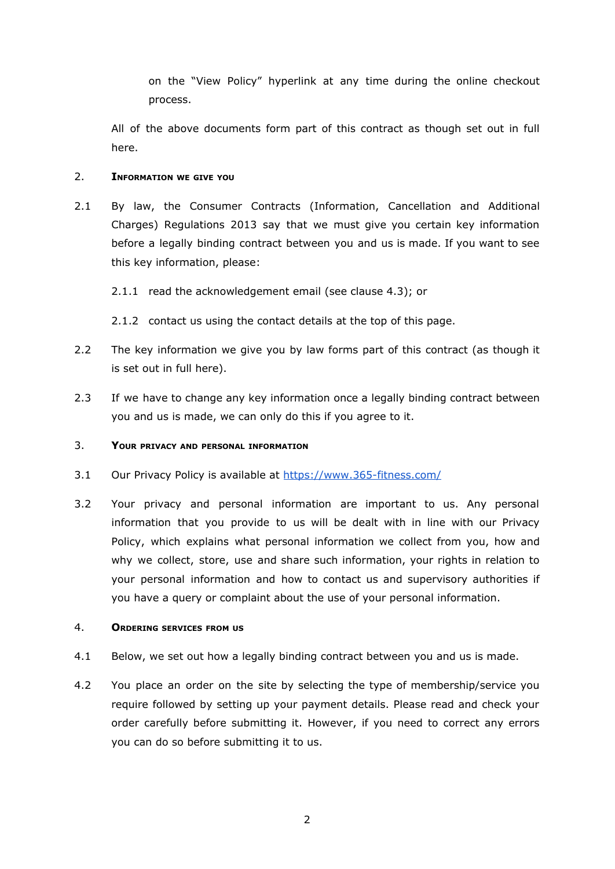on the "View Policy" hyperlink at any time during the online checkout process.

All of the above documents form part of this contract as though set out in full here.

### 2. **INFORMATION WE GIVE YOU**

- 2.1 By law, the Consumer Contracts (Information, Cancellation and Additional Charges) Regulations 2013 say that we must give you certain key information before a legally binding contract between you and us is made. If you want to see this key information, please:
	- 2.1.1 read the acknowledgement email (see clause 4.3); or
	- 2.1.2 contact us using the contact details at the top of this page.
- 2.2 The key information we give you by law forms part of this contract (as though it is set out in full here).
- 2.3 If we have to change any key information once a legally binding contract between you and us is made, we can only do this if you agree to it.

## 3. **YOUR PRIVACY AND PERSONAL INFORMATION**

- 3.1 Our Privacy Policy is available at <https://www.365-fitness.com/>
- 3.2 Your privacy and personal information are important to us. Any personal information that you provide to us will be dealt with in line with our Privacy Policy, which explains what personal information we collect from you, how and why we collect, store, use and share such information, your rights in relation to your personal information and how to contact us and supervisory authorities if you have a query or complaint about the use of your personal information.

## 4. **ORDERING SERVICES FROM US**

- 4.1 Below, we set out how a legally binding contract between you and us is made.
- 4.2 You place an order on the site by selecting the type of membership/service you require followed by setting up your payment details. Please read and check your order carefully before submitting it. However, if you need to correct any errors you can do so before submitting it to us.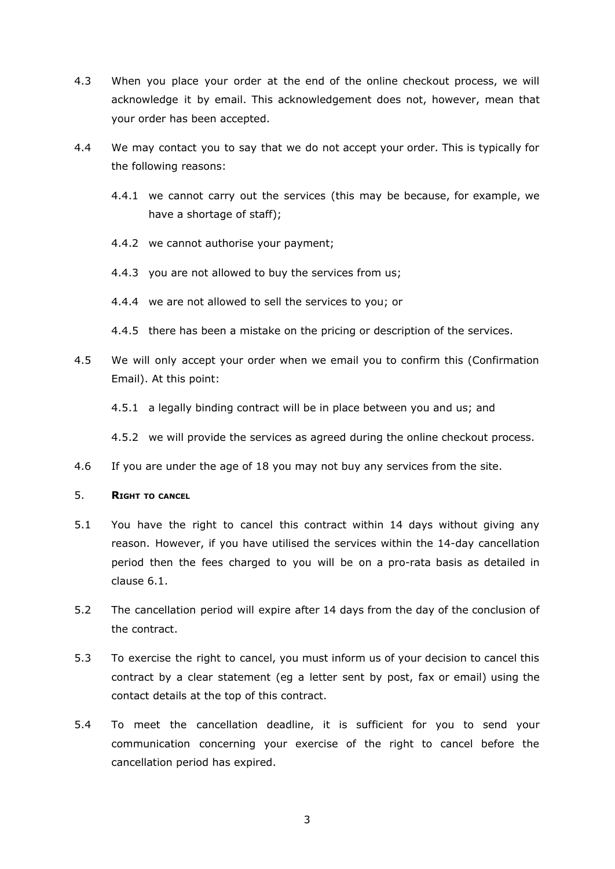- 4.3 When you place your order at the end of the online checkout process, we will acknowledge it by email. This acknowledgement does not, however, mean that your order has been accepted.
- 4.4 We may contact you to say that we do not accept your order. This is typically for the following reasons:
	- 4.4.1 we cannot carry out the services (this may be because, for example, we have a shortage of staff);
	- 4.4.2 we cannot authorise your payment;
	- 4.4.3 you are not allowed to buy the services from us;
	- 4.4.4 we are not allowed to sell the services to you; or
	- 4.4.5 there has been a mistake on the pricing or description of the services.
- 4.5 We will only accept your order when we email you to confirm this (Confirmation Email). At this point:
	- 4.5.1 a legally binding contract will be in place between you and us; and

4.5.2 we will provide the services as agreed during the online checkout process.

4.6 If you are under the age of 18 you may not buy any services from the site.

### 5. **RIGHT TO CANCEL**

- 5.1 You have the right to cancel this contract within 14 days without giving any reason. However, if you have utilised the services within the 14-day cancellation period then the fees charged to you will be on a pro-rata basis as detailed in clause 6.1.
- 5.2 The cancellation period will expire after 14 days from the day of the conclusion of the contract.
- 5.3 To exercise the right to cancel, you must inform us of your decision to cancel this contract by a clear statement (eg a letter sent by post, fax or email) using the contact details at the top of this contract.
- 5.4 To meet the cancellation deadline, it is sufficient for you to send your communication concerning your exercise of the right to cancel before the cancellation period has expired.

3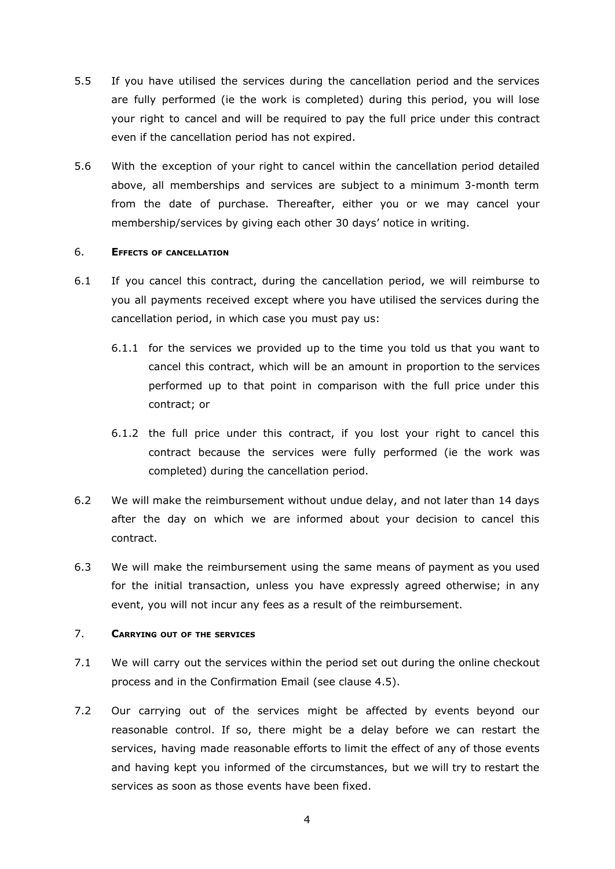- 5.5 If you have utilised the services during the cancellation period and the services are fully performed (ie the work is completed) during this period, you will lose your right to cancel and will be required to pay the full price under this contract even if the cancellation period has not expired.
- 5.6 With the exception of your right to cancel within the cancellation period detailed above, all memberships and services are subject to a minimum 3-month term from the date of purchase. Thereafter, either you or we may cancel your membership/services by giving each other 30 days' notice in writing.

### 6. **EFFECTS OF CANCELLATION**

- 6.1 If you cancel this contract, during the cancellation period, we will reimburse to you all payments received except where you have utilised the services during the cancellation period, in which case you must pay us:
	- 6.1.1 for the services we provided up to the time you told us that you want to cancel this contract, which will be an amount in proportion to the services performed up to that point in comparison with the full price under this contract; or
	- 6.1.2 the full price under this contract, if you lost your right to cancel this contract because the services were fully performed (ie the work was completed) during the cancellation period.
- 6.2 We will make the reimbursement without undue delay, and not later than 14 days after the day on which we are informed about your decision to cancel this contract.
- 6.3 We will make the reimbursement using the same means of payment as you used for the initial transaction, unless you have expressly agreed otherwise; in any event, you will not incur any fees as a result of the reimbursement.

### 7. **CARRYING OUT OF THE SERVICES**

- 7.1 We will carry out the services within the period set out during the online checkout process and in the Confirmation Email (see clause 4.5).
- 7.2 Our carrying out of the services might be affected by events beyond our reasonable control. If so, there might be a delay before we can restart the services, having made reasonable efforts to limit the effect of any of those events and having kept you informed of the circumstances, but we will try to restart the services as soon as those events have been fixed.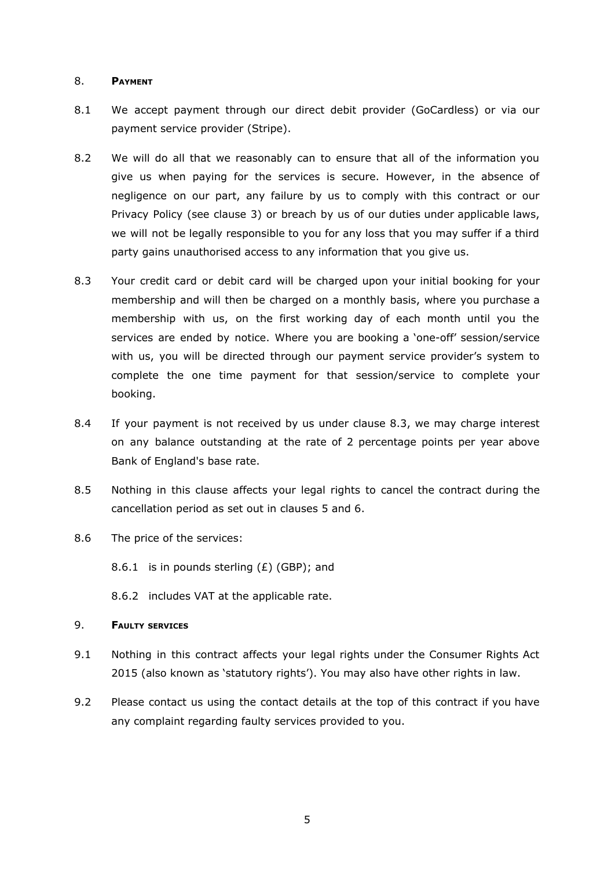### 8. **PAYMENT**

- 8.1 We accept payment through our direct debit provider (GoCardless) or via our payment service provider (Stripe).
- 8.2 We will do all that we reasonably can to ensure that all of the information you give us when paying for the services is secure. However, in the absence of negligence on our part, any failure by us to comply with this contract or our Privacy Policy (see clause 3) or breach by us of our duties under applicable laws, we will not be legally responsible to you for any loss that you may suffer if a third party gains unauthorised access to any information that you give us.
- 8.3 Your credit card or debit card will be charged upon your initial booking for your membership and will then be charged on a monthly basis, where you purchase a membership with us, on the first working day of each month until you the services are ended by notice. Where you are booking a 'one-off' session/service with us, you will be directed through our payment service provider's system to complete the one time payment for that session/service to complete your booking.
- 8.4 If your payment is not received by us under clause 8.3, we may charge interest on any balance outstanding at the rate of 2 percentage points per year above Bank of England's base rate.
- 8.5 Nothing in this clause affects your legal rights to cancel the contract during the cancellation period as set out in clauses 5 and 6.
- 8.6 The price of the services:

8.6.1 is in pounds sterling  $(E)$  (GBP); and

8.6.2 includes VAT at the applicable rate.

### 9. **FAULTY SERVICES**

- 9.1 Nothing in this contract affects your legal rights under the Consumer Rights Act 2015 (also known as 'statutory rights'). You may also have other rights in law.
- 9.2 Please contact us using the contact details at the top of this contract if you have any complaint regarding faulty services provided to you.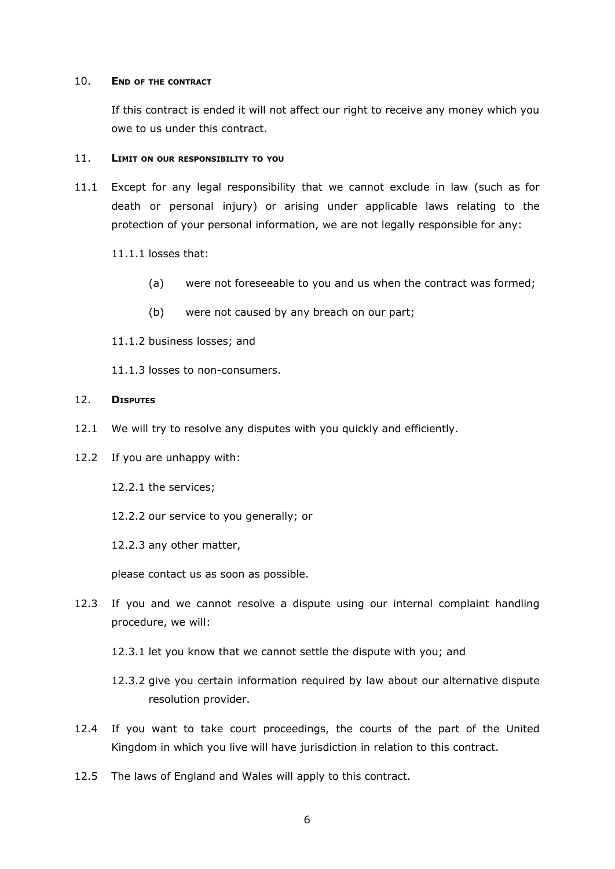#### 10. **END OF THE CONTRACT**

If this contract is ended it will not affect our right to receive any money which you owe to us under this contract.

#### 11. **LIMIT ON OUR RESPONSIBILITY TO YOU**

11.1 Except for any legal responsibility that we cannot exclude in law (such as for death or personal injury) or arising under applicable laws relating to the protection of your personal information, we are not legally responsible for any:

11.1.1 losses that:

- (a) were not foreseeable to you and us when the contract was formed;
- (b) were not caused by any breach on our part;
- 11.1.2 business losses; and
- 11.1.3 losses to non-consumers.

#### 12. **DISPUTES**

- 12.1 We will try to resolve any disputes with you quickly and efficiently.
- 12.2 If you are unhappy with:
	- 12.2.1 the services;
	- 12.2.2 our service to you generally; or

12.2.3 any other matter,

please contact us as soon as possible.

- 12.3 If you and we cannot resolve a dispute using our internal complaint handling procedure, we will:
	- 12.3.1 let you know that we cannot settle the dispute with you; and
	- 12.3.2 give you certain information required by law about our alternative dispute resolution provider.
- 12.4 If you want to take court proceedings, the courts of the part of the United Kingdom in which you live will have jurisdiction in relation to this contract.
- 12.5 The laws of England and Wales will apply to this contract.